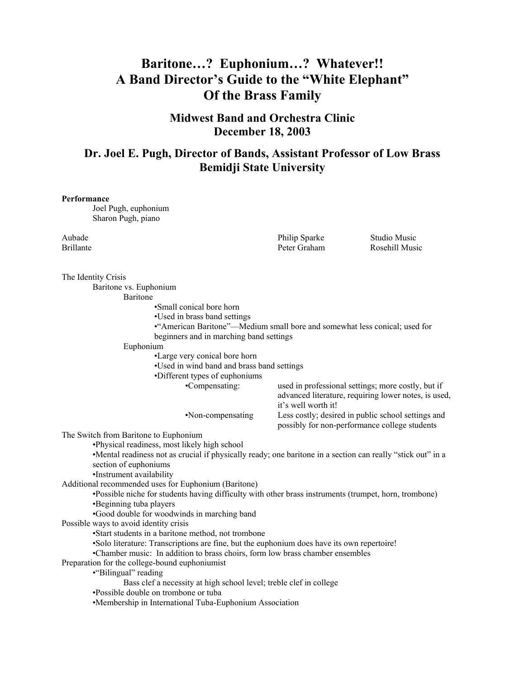# **Baritone…? Euphonium…? Whatever!! A Band Director's Guide to the "White Elephant" Of the Brass Family**

**Midwest Band and Orchestra Clinic December 18, 2003** 

## **Dr. Joel E. Pugh, Director of Bands, Assistant Professor of Low Brass Bemidji State University**

#### **Performance**

 Joel Pugh, euphonium Sharon Pugh, piano

Aubade Philip Sparke Studio Music

Brillante **Brillante** Rosehill Music **Peter Graham** Rosehill Music

The Identity Crisis Baritone vs. Euphonium Baritone •Small conical bore horn •Used in brass band settings •"American Baritone"—Medium small bore and somewhat less conical; used for beginners and in marching band settings Euphonium •Large very conical bore horn •Used in wind band and brass band settings •Different types of euphoniums •Compensating: used in professional settings; more costly, but if advanced literature, requiring lower notes, is used, it's well worth it! •Non-compensating Less costly; desired in public school settings and possibly for non-performance college students The Switch from Baritone to Euphonium •Physical readiness, most likely high school •Mental readiness not as crucial if physically ready; one baritone in a section can really "stick out" in a section of euphoniums •Instrument availability Additional recommended uses for Euphonium (Baritone) •Possible niche for students having difficulty with other brass instruments (trumpet, horn, trombone) •Beginning tuba players •Good double for woodwinds in marching band Possible ways to avoid identity crisis •Start students in a baritone method, not trombone •Solo literature: Transcriptions are fine, but the euphonium does have its own repertoire! •Chamber music: In addition to brass choirs, form low brass chamber ensembles Preparation for the college-bound euphoniumist •"Bilingual" reading Bass clef a necessity at high school level; treble clef in college •Possible double on trombone or tuba •Membership in International Tuba-Euphonium Association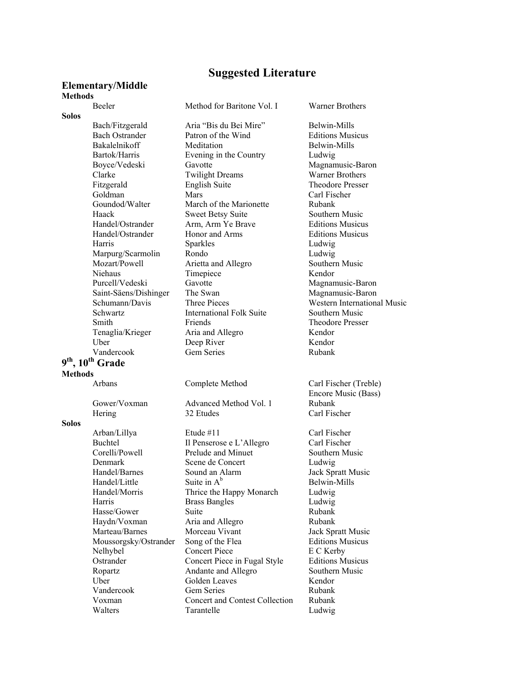### **Suggested Literature**

### **Elementary/Middle Methods**

### Beeler Method for Baritone Vol. I Warner Brothers

**Solos** 

9<sup>th</sup>, 10<sup>th</sup> Grade

## **Methods**

**Solos** 

Handel/Little Suite in  $A^b$ 

Bach/Fitzgerald Aria "Bis du Bei Mire" Belwin-Mills Bach Ostrander Patron of the Wind Editions Musicus Bakalelnikoff Meditation Belwin-Mills Bartok/Harris Evening in the Country Ludwig Boyce/Vedeski Gavotte Magnamusic-Baron Clarke Twilight Dreams Warner Brothers Fitzgerald English Suite Theodore Presser Goldman Mars Carl Fischer<br>
Goundod/Walter March of the Marionette Rubank March of the Marionette Rubank Haack Sweet Betsy Suite Southern Music Handel/Ostrander Arm, Arm Ye Brave Editions Musicus Handel/Ostrander Honor and Arms Editions Musicus Harris Sparkles Ludwig Marpurg/Scarmolin Rondo Ludwig Mozart/Powell Arietta and Allegro Southern Music Niehaus Timepiece Kendor Purcell/Vedeski Gavotte Magnamusic-Baron<br>Saint-Säens/Dishinger The Swan Magnamusic-Baron Saint-Säens/Dishinger The Swan Magnamusic-Baron Schwartz International Folk Suite Southern Music Smith Friends Friends Theodore Presser Tenaglia/Krieger Aria and Allegro Kendor Uber Deep River Kendor Vandercook Gem Series Rubank

Gower/Voxman Advanced Method Vol. 1 Rubank Hering 32 Etudes Carl Fischer

 Arban/Lillya Etude #11 Carl Fischer Buchtel Il Penserose e L'Allegro Carl Fischer Corelli/Powell Prelude and Minuet Southern Music Denmark Scene de Concert Ludwig<br>
Handel/Barnes Sound an Alarm Jack Spr Sound an Alarm Jack Spratt Music Handel/Morris Thrice the Happy Monarch Ludwig Harris Brass Bangles Ludwig Hasse/Gower Suite Rubank Haydn/Voxman Aria and Allegro Rubank Marteau/Barnes Morceau Vivant Jack Spratt Music Moussorgsky/Ostrander Song of the Flea Editions Musicus Nelhybel Concert Piece E C Kerby<br>
Concert Piece in Fugal Style Editions Musicus Ostrander Concert Piece in Fugal Style Ropartz **Andante and Allegro** Southern Music Uber Golden Leaves Kendor Vandercook Gem Series Rubank Voxman Concert and Contest Collection Rubank Walters Tarantelle Ludwig

Schumann/Davis Three Pieces Western International Music

 Arbans Complete Method Carl Fischer (Treble) Encore Music (Bass)

Belwin-Mills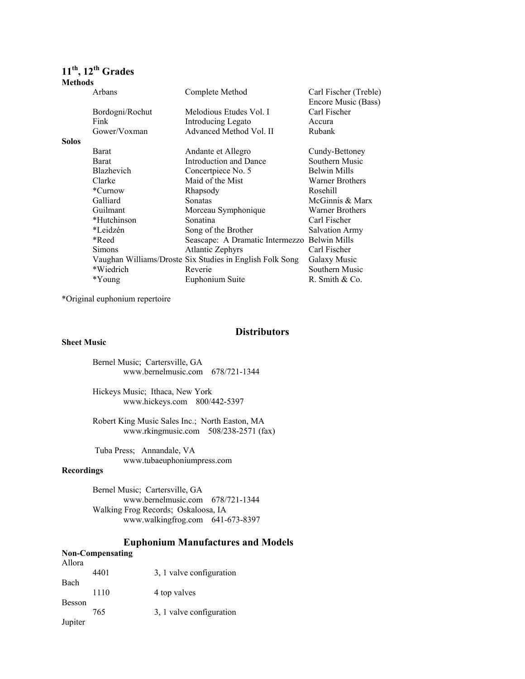## **11th, 12th Grades**

| <b>Methods</b> |                   |                                                          |                        |
|----------------|-------------------|----------------------------------------------------------|------------------------|
|                | Arbans            | Complete Method                                          | Carl Fischer (Treble)  |
|                |                   |                                                          | Encore Music (Bass)    |
|                | Bordogni/Rochut   | Melodious Etudes Vol. I                                  | Carl Fischer           |
|                | Fink              | Introducing Legato                                       | Accura                 |
|                | Gower/Voxman      | Advanced Method Vol. II                                  | Rubank                 |
| <b>Solos</b>   |                   |                                                          |                        |
|                | Barat             | Andante et Allegro                                       | Cundy-Bettoney         |
|                | Barat             | Introduction and Dance                                   | Southern Music         |
|                | <b>Blazhevich</b> | Concertpiece No. 5                                       | Belwin Mills           |
|                | Clarke            | Maid of the Mist                                         | <b>Warner Brothers</b> |
|                | *Curnow           | Rhapsody                                                 | Rosehill               |
|                | Galliard          | Sonatas                                                  | McGinnis & Marx        |
|                | Guilmant          | Morceau Symphonique                                      | <b>Warner Brothers</b> |
|                | *Hutchinson       | Sonatina                                                 | Carl Fischer           |
|                | *Leidzén          | Song of the Brother                                      | <b>Salvation Army</b>  |
|                | *Reed             | Seascape: A Dramatic Intermezzo                          | <b>Belwin Mills</b>    |
|                | <b>Simons</b>     | <b>Atlantic Zephyrs</b>                                  | Carl Fischer           |
|                |                   | Vaughan Williams/Droste Six Studies in English Folk Song | Galaxy Music           |
|                | *Wiedrich         | Reverie                                                  | Southern Music         |
|                | *Young            | Euphonium Suite                                          | R. Smith $& Co.$       |

\*Original euphonium repertoire

### **Distributors**

#### **Sheet Music**

Bernel Music; Cartersville, GA www.bernelmusic.com 678/721-1344

Hickeys Music; Ithaca, New York www.hickeys.com 800/442-5397

Robert King Music Sales Inc.; North Easton, MA www.rkingmusic.com 508/238-2571 (fax)

 Tuba Press; Annandale, VA www.tubaeuphoniumpress.com

#### **Recordings**

Bernel Music; Cartersville, GA www.bernelmusic.com 678/721-1344 Walking Frog Records; Oskaloosa, IA www.walkingfrog.com 641-673-8397

### **Euphonium Manufactures and Models**

### **Non-Compensating**

| Allora        |      |                          |
|---------------|------|--------------------------|
|               | 4401 | 3, 1 valve configuration |
| Bach          |      |                          |
|               | 1110 | 4 top valves             |
| <b>Besson</b> |      |                          |
|               | 765  | 3, 1 valve configuration |
| Jupiter       |      |                          |
|               |      |                          |